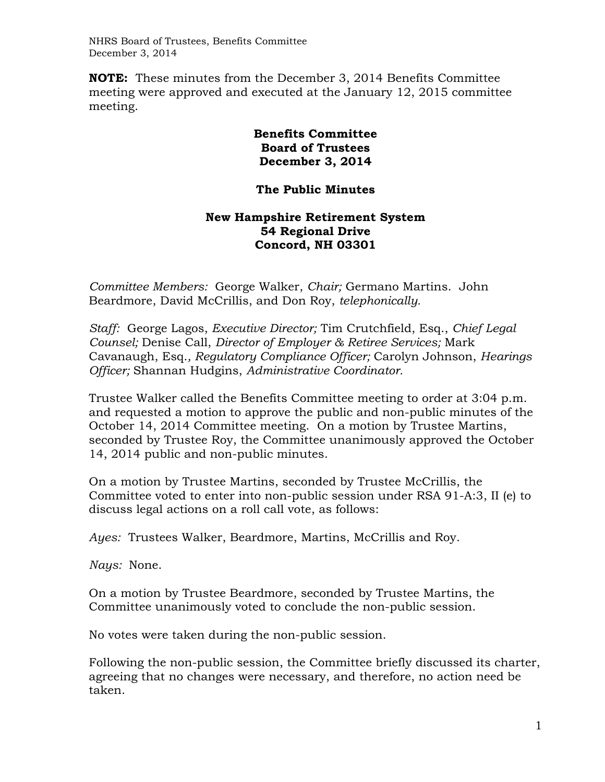NHRS Board of Trustees, Benefits Committee December 3, 2014

**NOTE:** These minutes from the December 3, 2014 Benefits Committee meeting were approved and executed at the January 12, 2015 committee meeting.

## **Benefits Committee Board of Trustees December 3, 2014**

## **The Public Minutes**

## **New Hampshire Retirement System 54 Regional Drive Concord, NH 03301**

*Committee Members:* George Walker, *Chair;* Germano Martins. John Beardmore, David McCrillis, and Don Roy, *telephonically.*

*Staff:* George Lagos, *Executive Director;* Tim Crutchfield, Esq., *Chief Legal Counsel;* Denise Call, *Director of Employer & Retiree Services;* Mark Cavanaugh, Esq.*, Regulatory Compliance Officer;* Carolyn Johnson, *Hearings Officer;* Shannan Hudgins, *Administrative Coordinator.* 

Trustee Walker called the Benefits Committee meeting to order at 3:04 p.m. and requested a motion to approve the public and non-public minutes of the October 14, 2014 Committee meeting. On a motion by Trustee Martins, seconded by Trustee Roy, the Committee unanimously approved the October 14, 2014 public and non-public minutes.

On a motion by Trustee Martins, seconded by Trustee McCrillis, the Committee voted to enter into non-public session under RSA 91-A:3, II (e) to discuss legal actions on a roll call vote, as follows:

*Ayes:* Trustees Walker, Beardmore, Martins, McCrillis and Roy.

*Nays:* None.

On a motion by Trustee Beardmore, seconded by Trustee Martins, the Committee unanimously voted to conclude the non-public session.

No votes were taken during the non-public session.

Following the non-public session, the Committee briefly discussed its charter, agreeing that no changes were necessary, and therefore, no action need be taken.